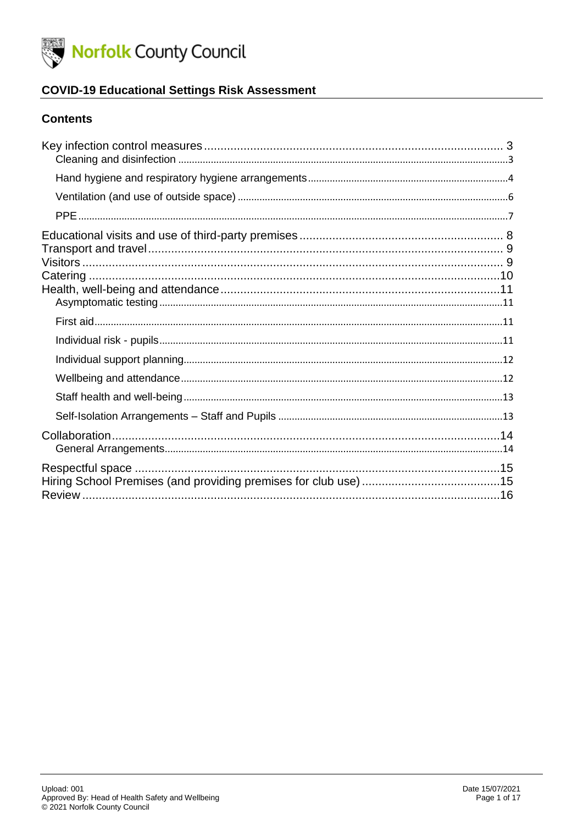

### **COVID-19 Educational Settings Risk Assessment**

#### **Contents**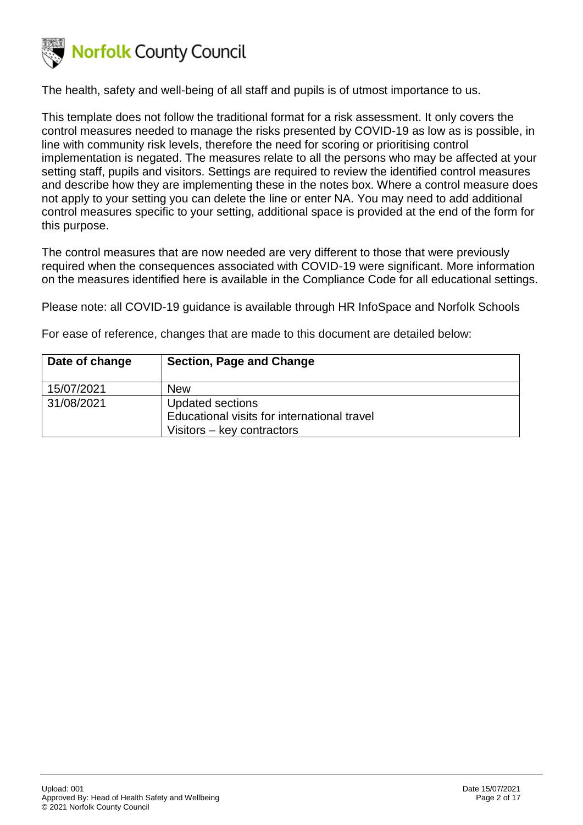

The health, safety and well-being of all staff and pupils is of utmost importance to us.

This template does not follow the traditional format for a risk assessment. It only covers the control measures needed to manage the risks presented by COVID-19 as low as is possible, in line with community risk levels, therefore the need for scoring or prioritising control implementation is negated. The measures relate to all the persons who may be affected at your setting staff, pupils and visitors. Settings are required to review the identified control measures and describe how they are implementing these in the notes box. Where a control measure does not apply to your setting you can delete the line or enter NA. You may need to add additional control measures specific to your setting, additional space is provided at the end of the form for this purpose.

The control measures that are now needed are very different to those that were previously required when the consequences associated with COVID-19 were significant. More information on the measures identified here is available in the Compliance Code for all educational settings.

Please note: all COVID-19 guidance is available through HR InfoSpace and Norfolk Schools

For ease of reference, changes that are made to this document are detailed below:

| Date of change | <b>Section, Page and Change</b>             |
|----------------|---------------------------------------------|
| 15/07/2021     | <b>New</b>                                  |
| 31/08/2021     | Updated sections                            |
|                | Educational visits for international travel |
|                | Visitors – key contractors                  |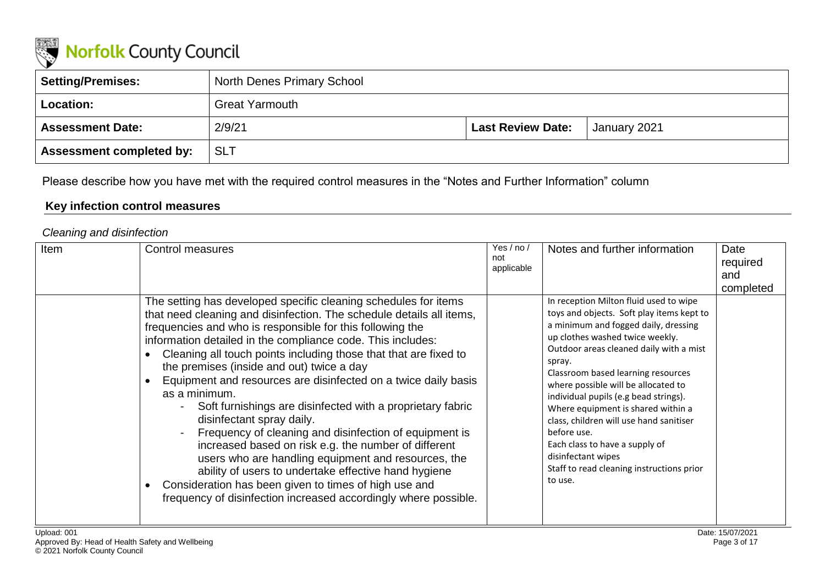

| Setting/Premises:               | <b>North Denes Primary School</b> |                          |              |
|---------------------------------|-----------------------------------|--------------------------|--------------|
| <b>Location:</b>                | <b>Great Yarmouth</b>             |                          |              |
| <b>Assessment Date:</b>         | 2/9/21                            | <b>Last Review Date:</b> | January 2021 |
| <b>Assessment completed by:</b> | <b>SLT</b>                        |                          |              |

Please describe how you have met with the required control measures in the "Notes and Further Information" column

### **Key infection control measures**

#### *Cleaning and disinfection*

<span id="page-2-1"></span><span id="page-2-0"></span>

| Item | Control measures<br>The setting has developed specific cleaning schedules for items                                                                                                                                                                                                                                                                                                                                                                                                                                                                                                                                                                                                                                                                                                                                                                                            | Yes / no /<br>not<br>applicable | Notes and further information<br>In reception Milton fluid used to wipe                                                                                                                                                                                                                                                                                                                                                                                                                                         | Date<br>required<br>and<br>completed |
|------|--------------------------------------------------------------------------------------------------------------------------------------------------------------------------------------------------------------------------------------------------------------------------------------------------------------------------------------------------------------------------------------------------------------------------------------------------------------------------------------------------------------------------------------------------------------------------------------------------------------------------------------------------------------------------------------------------------------------------------------------------------------------------------------------------------------------------------------------------------------------------------|---------------------------------|-----------------------------------------------------------------------------------------------------------------------------------------------------------------------------------------------------------------------------------------------------------------------------------------------------------------------------------------------------------------------------------------------------------------------------------------------------------------------------------------------------------------|--------------------------------------|
|      | that need cleaning and disinfection. The schedule details all items,<br>frequencies and who is responsible for this following the<br>information detailed in the compliance code. This includes:<br>Cleaning all touch points including those that that are fixed to<br>the premises (inside and out) twice a day<br>Equipment and resources are disinfected on a twice daily basis<br>as a minimum.<br>Soft furnishings are disinfected with a proprietary fabric<br>$\blacksquare$<br>disinfectant spray daily.<br>Frequency of cleaning and disinfection of equipment is<br>increased based on risk e.g. the number of different<br>users who are handling equipment and resources, the<br>ability of users to undertake effective hand hygiene<br>Consideration has been given to times of high use and<br>frequency of disinfection increased accordingly where possible. |                                 | toys and objects. Soft play items kept to<br>a minimum and fogged daily, dressing<br>up clothes washed twice weekly.<br>Outdoor areas cleaned daily with a mist<br>spray.<br>Classroom based learning resources<br>where possible will be allocated to<br>individual pupils (e.g bead strings).<br>Where equipment is shared within a<br>class, children will use hand sanitiser<br>before use.<br>Each class to have a supply of<br>disinfectant wipes<br>Staff to read cleaning instructions prior<br>to use. |                                      |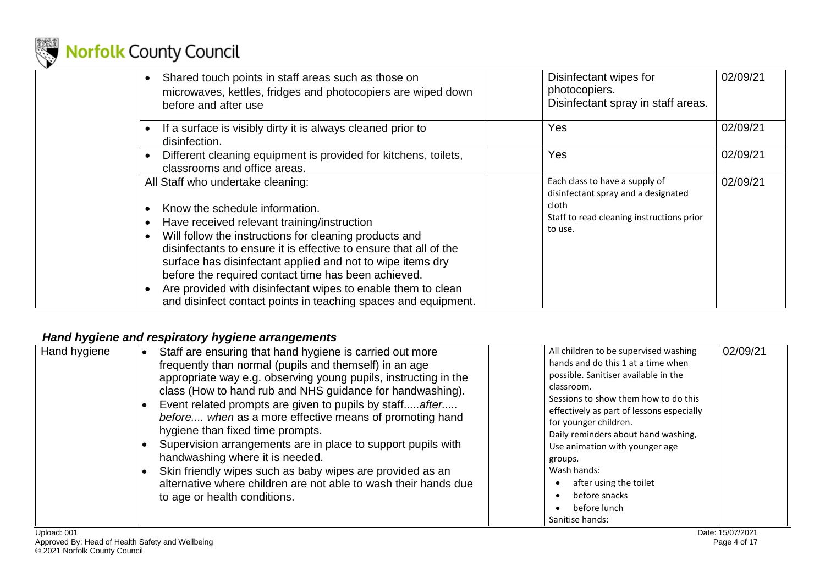

| Shared touch points in staff areas such as those on<br>microwaves, kettles, fridges and photocopiers are wiped down<br>before and after use                                                                                                                                                                                                                                                                                                                                                              | Disinfectant wipes for<br>photocopiers.<br>Disinfectant spray in staff areas.                                                          | 02/09/21 |
|----------------------------------------------------------------------------------------------------------------------------------------------------------------------------------------------------------------------------------------------------------------------------------------------------------------------------------------------------------------------------------------------------------------------------------------------------------------------------------------------------------|----------------------------------------------------------------------------------------------------------------------------------------|----------|
| If a surface is visibly dirty it is always cleaned prior to<br>disinfection.                                                                                                                                                                                                                                                                                                                                                                                                                             | Yes                                                                                                                                    | 02/09/21 |
| Different cleaning equipment is provided for kitchens, toilets,<br>classrooms and office areas.                                                                                                                                                                                                                                                                                                                                                                                                          | Yes                                                                                                                                    | 02/09/21 |
| All Staff who undertake cleaning:<br>Know the schedule information.<br>Have received relevant training/instruction<br>Will follow the instructions for cleaning products and<br>disinfectants to ensure it is effective to ensure that all of the<br>surface has disinfectant applied and not to wipe items dry<br>before the required contact time has been achieved.<br>Are provided with disinfectant wipes to enable them to clean<br>and disinfect contact points in teaching spaces and equipment. | Each class to have a supply of<br>disinfectant spray and a designated<br>cloth<br>Staff to read cleaning instructions prior<br>to use. | 02/09/21 |

## *Hand hygiene and respiratory hygiene arrangements*

<span id="page-3-0"></span>

| Hand hygiene | Staff are ensuring that hand hygiene is carried out more<br>frequently than normal (pupils and themself) in an age<br>appropriate way e.g. observing young pupils, instructing in the<br>class (How to hand rub and NHS guidance for handwashing).<br>Event related prompts are given to pupils by staffafter<br>before when as a more effective means of promoting hand<br>hygiene than fixed time prompts.<br>Supervision arrangements are in place to support pupils with<br>handwashing where it is needed.<br>Skin friendly wipes such as baby wipes are provided as an<br>alternative where children are not able to wash their hands due<br>to age or health conditions. | All children to be supervised washing<br>hands and do this 1 at a time when<br>possible. Sanitiser available in the<br>classroom.<br>Sessions to show them how to do this<br>effectively as part of lessons especially<br>for younger children.<br>Daily reminders about hand washing,<br>Use animation with younger age<br>groups.<br>Wash hands:<br>after using the toilet<br>before snacks<br>before lunch<br>Sanitise hands: | 02/09/21 |
|--------------|---------------------------------------------------------------------------------------------------------------------------------------------------------------------------------------------------------------------------------------------------------------------------------------------------------------------------------------------------------------------------------------------------------------------------------------------------------------------------------------------------------------------------------------------------------------------------------------------------------------------------------------------------------------------------------|----------------------------------------------------------------------------------------------------------------------------------------------------------------------------------------------------------------------------------------------------------------------------------------------------------------------------------------------------------------------------------------------------------------------------------|----------|
|--------------|---------------------------------------------------------------------------------------------------------------------------------------------------------------------------------------------------------------------------------------------------------------------------------------------------------------------------------------------------------------------------------------------------------------------------------------------------------------------------------------------------------------------------------------------------------------------------------------------------------------------------------------------------------------------------------|----------------------------------------------------------------------------------------------------------------------------------------------------------------------------------------------------------------------------------------------------------------------------------------------------------------------------------------------------------------------------------------------------------------------------------|----------|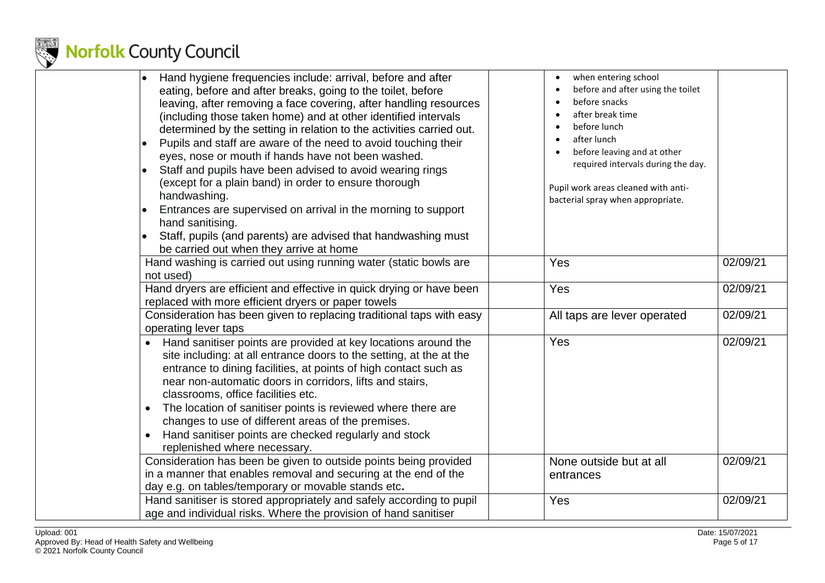

| Hand hygiene frequencies include: arrival, before and after<br>eating, before and after breaks, going to the toilet, before<br>leaving, after removing a face covering, after handling resources<br>(including those taken home) and at other identified intervals<br>determined by the setting in relation to the activities carried out.<br>Pupils and staff are aware of the need to avoid touching their<br>eyes, nose or mouth if hands have not been washed.<br>Staff and pupils have been advised to avoid wearing rings<br>(except for a plain band) in order to ensure thorough<br>handwashing.<br>Entrances are supervised on arrival in the morning to support<br>hand sanitising.<br>Staff, pupils (and parents) are advised that handwashing must<br>be carried out when they arrive at home | when entering school<br>$\bullet$<br>before and after using the toilet<br>before snacks<br>after break time<br>before lunch<br>$\bullet$<br>after lunch<br>$\bullet$<br>before leaving and at other<br>required intervals during the day.<br>Pupil work areas cleaned with anti-<br>bacterial spray when appropriate. |          |
|-----------------------------------------------------------------------------------------------------------------------------------------------------------------------------------------------------------------------------------------------------------------------------------------------------------------------------------------------------------------------------------------------------------------------------------------------------------------------------------------------------------------------------------------------------------------------------------------------------------------------------------------------------------------------------------------------------------------------------------------------------------------------------------------------------------|-----------------------------------------------------------------------------------------------------------------------------------------------------------------------------------------------------------------------------------------------------------------------------------------------------------------------|----------|
| Hand washing is carried out using running water (static bowls are<br>not used)                                                                                                                                                                                                                                                                                                                                                                                                                                                                                                                                                                                                                                                                                                                            | Yes                                                                                                                                                                                                                                                                                                                   | 02/09/21 |
| Hand dryers are efficient and effective in quick drying or have been<br>replaced with more efficient dryers or paper towels                                                                                                                                                                                                                                                                                                                                                                                                                                                                                                                                                                                                                                                                               | Yes                                                                                                                                                                                                                                                                                                                   | 02/09/21 |
| Consideration has been given to replacing traditional taps with easy<br>operating lever taps                                                                                                                                                                                                                                                                                                                                                                                                                                                                                                                                                                                                                                                                                                              | All taps are lever operated                                                                                                                                                                                                                                                                                           | 02/09/21 |
| Hand sanitiser points are provided at key locations around the<br>site including: at all entrance doors to the setting, at the at the<br>entrance to dining facilities, at points of high contact such as<br>near non-automatic doors in corridors, lifts and stairs,<br>classrooms, office facilities etc.<br>The location of sanitiser points is reviewed where there are<br>$\bullet$<br>changes to use of different areas of the premises.<br>Hand sanitiser points are checked regularly and stock<br>$\bullet$<br>replenished where necessary.                                                                                                                                                                                                                                                      | Yes                                                                                                                                                                                                                                                                                                                   | 02/09/21 |
| Consideration has been be given to outside points being provided<br>in a manner that enables removal and securing at the end of the<br>day e.g. on tables/temporary or movable stands etc.                                                                                                                                                                                                                                                                                                                                                                                                                                                                                                                                                                                                                | None outside but at all<br>entrances                                                                                                                                                                                                                                                                                  | 02/09/21 |
| Hand sanitiser is stored appropriately and safely according to pupil<br>age and individual risks. Where the provision of hand sanitiser                                                                                                                                                                                                                                                                                                                                                                                                                                                                                                                                                                                                                                                                   | Yes                                                                                                                                                                                                                                                                                                                   | 02/09/21 |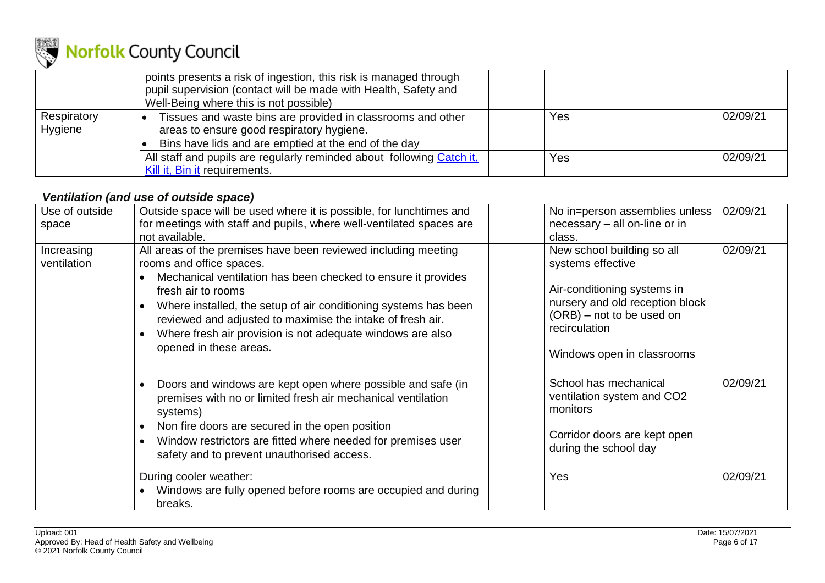

|                        | points presents a risk of ingestion, this risk is managed through<br>pupil supervision (contact will be made with Health, Safety and<br>Well-Being where this is not possible) |     |          |
|------------------------|--------------------------------------------------------------------------------------------------------------------------------------------------------------------------------|-----|----------|
| Respiratory<br>Hygiene | Tissues and waste bins are provided in classrooms and other<br>areas to ensure good respiratory hygiene.<br>Bins have lids and are emptied at the end of the day               | Yes | 02/09/21 |
|                        | All staff and pupils are regularly reminded about following Catch it,<br>Kill it, Bin it requirements.                                                                         | Yes | 02/09/21 |

### *Ventilation (and use of outside space)*

<span id="page-5-0"></span>

| Use of outside            | Outside space will be used where it is possible, for lunchtimes and<br>for meetings with staff and pupils, where well-ventilated spaces are                                                                                                                                                                                                                                                                                                       | No in=person assemblies unless<br>necessary – all on-line or in                                                                                                                               | 02/09/21 |
|---------------------------|---------------------------------------------------------------------------------------------------------------------------------------------------------------------------------------------------------------------------------------------------------------------------------------------------------------------------------------------------------------------------------------------------------------------------------------------------|-----------------------------------------------------------------------------------------------------------------------------------------------------------------------------------------------|----------|
| space                     | not available.                                                                                                                                                                                                                                                                                                                                                                                                                                    | class.                                                                                                                                                                                        |          |
| Increasing<br>ventilation | All areas of the premises have been reviewed including meeting<br>rooms and office spaces.<br>Mechanical ventilation has been checked to ensure it provides<br>$\bullet$<br>fresh air to rooms<br>Where installed, the setup of air conditioning systems has been<br>$\bullet$<br>reviewed and adjusted to maximise the intake of fresh air.<br>Where fresh air provision is not adequate windows are also<br>$\bullet$<br>opened in these areas. | New school building so all<br>systems effective<br>Air-conditioning systems in<br>nursery and old reception block<br>(ORB) – not to be used on<br>recirculation<br>Windows open in classrooms | 02/09/21 |
|                           | Doors and windows are kept open where possible and safe (in<br>$\bullet$<br>premises with no or limited fresh air mechanical ventilation<br>systems)<br>Non fire doors are secured in the open position<br>$\bullet$<br>Window restrictors are fitted where needed for premises user<br>$\bullet$<br>safety and to prevent unauthorised access.                                                                                                   | School has mechanical<br>ventilation system and CO2<br>monitors<br>Corridor doors are kept open<br>during the school day                                                                      | 02/09/21 |
|                           | During cooler weather:<br>Windows are fully opened before rooms are occupied and during<br>$\bullet$<br>breaks.                                                                                                                                                                                                                                                                                                                                   | Yes                                                                                                                                                                                           | 02/09/21 |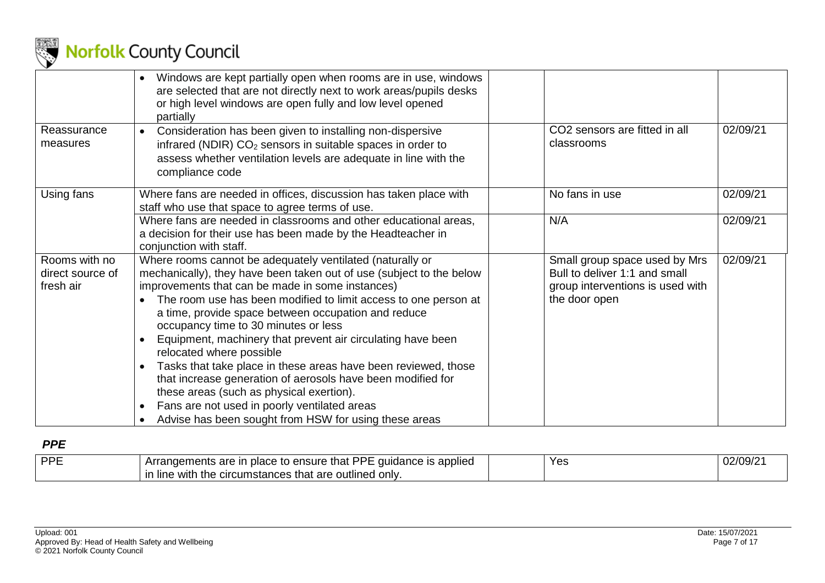

|                                                | Windows are kept partially open when rooms are in use, windows<br>$\bullet$<br>are selected that are not directly next to work areas/pupils desks<br>or high level windows are open fully and low level opened<br>partially                                                                                                                                                                                                                                                                                                                                                                                                                                                                                                                           |                                                                                                                                 |
|------------------------------------------------|-------------------------------------------------------------------------------------------------------------------------------------------------------------------------------------------------------------------------------------------------------------------------------------------------------------------------------------------------------------------------------------------------------------------------------------------------------------------------------------------------------------------------------------------------------------------------------------------------------------------------------------------------------------------------------------------------------------------------------------------------------|---------------------------------------------------------------------------------------------------------------------------------|
| Reassurance<br>measures                        | Consideration has been given to installing non-dispersive<br>$\bullet$<br>infrared (NDIR) CO <sub>2</sub> sensors in suitable spaces in order to<br>assess whether ventilation levels are adequate in line with the<br>compliance code                                                                                                                                                                                                                                                                                                                                                                                                                                                                                                                | 02/09/21<br>CO2 sensors are fitted in all<br>classrooms                                                                         |
| Using fans                                     | Where fans are needed in offices, discussion has taken place with<br>staff who use that space to agree terms of use.                                                                                                                                                                                                                                                                                                                                                                                                                                                                                                                                                                                                                                  | 02/09/21<br>No fans in use                                                                                                      |
|                                                | Where fans are needed in classrooms and other educational areas,<br>a decision for their use has been made by the Headteacher in<br>conjunction with staff.                                                                                                                                                                                                                                                                                                                                                                                                                                                                                                                                                                                           | 02/09/21<br>N/A                                                                                                                 |
| Rooms with no<br>direct source of<br>fresh air | Where rooms cannot be adequately ventilated (naturally or<br>mechanically), they have been taken out of use (subject to the below<br>improvements that can be made in some instances)<br>The room use has been modified to limit access to one person at<br>a time, provide space between occupation and reduce<br>occupancy time to 30 minutes or less<br>Equipment, machinery that prevent air circulating have been<br>relocated where possible<br>Tasks that take place in these areas have been reviewed, those<br>that increase generation of aerosols have been modified for<br>these areas (such as physical exertion).<br>Fans are not used in poorly ventilated areas<br>$\bullet$<br>Advise has been sought from HSW for using these areas | 02/09/21<br>Small group space used by Mrs<br>Bull to deliver 1:1 and small<br>group interventions is used with<br>the door open |

#### *PPE*

<span id="page-6-0"></span>

| <b>I DDF</b> | .<br><b>DDF</b><br>that<br>e is applied<br>i place to ensure :<br>quidance<br>are<br>andements <sup>1</sup> | Yes | 02/09/2 |
|--------------|-------------------------------------------------------------------------------------------------------------|-----|---------|
|              | d only.<br>: outlined<br>$\alpha$ the circumstances that a<br>in line<br>are<br>with                        |     |         |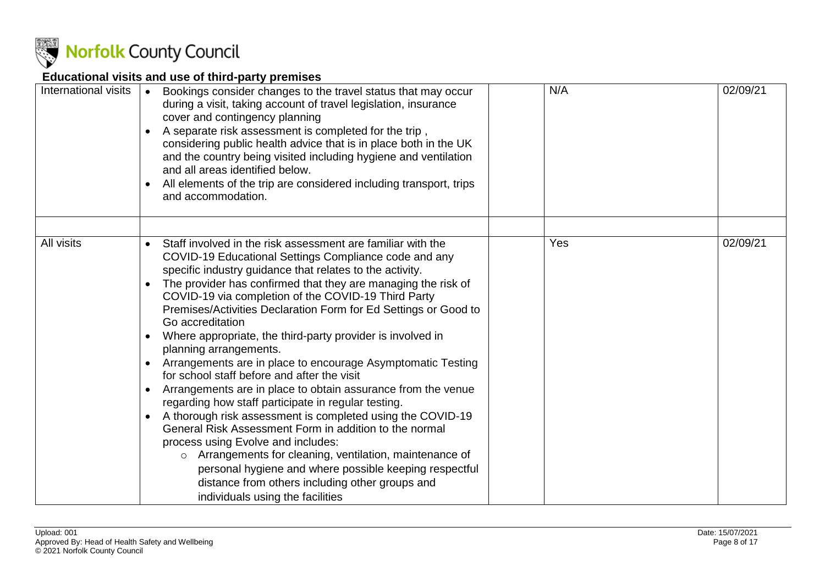

## **Educational visits and use of third-party premises**

<span id="page-7-0"></span>

| International visits | Bookings consider changes to the travel status that may occur<br>during a visit, taking account of travel legislation, insurance<br>cover and contingency planning<br>A separate risk assessment is completed for the trip,<br>considering public health advice that is in place both in the UK<br>and the country being visited including hygiene and ventilation<br>and all areas identified below.<br>All elements of the trip are considered including transport, trips<br>and accommodation.                                                                                                                                                                                                                                                                                                                                                                                                                                                                                                                                                                                                                                                                        | N/A | 02/09/21 |
|----------------------|--------------------------------------------------------------------------------------------------------------------------------------------------------------------------------------------------------------------------------------------------------------------------------------------------------------------------------------------------------------------------------------------------------------------------------------------------------------------------------------------------------------------------------------------------------------------------------------------------------------------------------------------------------------------------------------------------------------------------------------------------------------------------------------------------------------------------------------------------------------------------------------------------------------------------------------------------------------------------------------------------------------------------------------------------------------------------------------------------------------------------------------------------------------------------|-----|----------|
| All visits           | Staff involved in the risk assessment are familiar with the<br>$\bullet$<br>COVID-19 Educational Settings Compliance code and any<br>specific industry guidance that relates to the activity.<br>The provider has confirmed that they are managing the risk of<br>$\bullet$<br>COVID-19 via completion of the COVID-19 Third Party<br>Premises/Activities Declaration Form for Ed Settings or Good to<br>Go accreditation<br>Where appropriate, the third-party provider is involved in<br>planning arrangements.<br>Arrangements are in place to encourage Asymptomatic Testing<br>$\bullet$<br>for school staff before and after the visit<br>Arrangements are in place to obtain assurance from the venue<br>$\bullet$<br>regarding how staff participate in regular testing.<br>A thorough risk assessment is completed using the COVID-19<br>$\bullet$<br>General Risk Assessment Form in addition to the normal<br>process using Evolve and includes:<br>o Arrangements for cleaning, ventilation, maintenance of<br>personal hygiene and where possible keeping respectful<br>distance from others including other groups and<br>individuals using the facilities | Yes | 02/09/21 |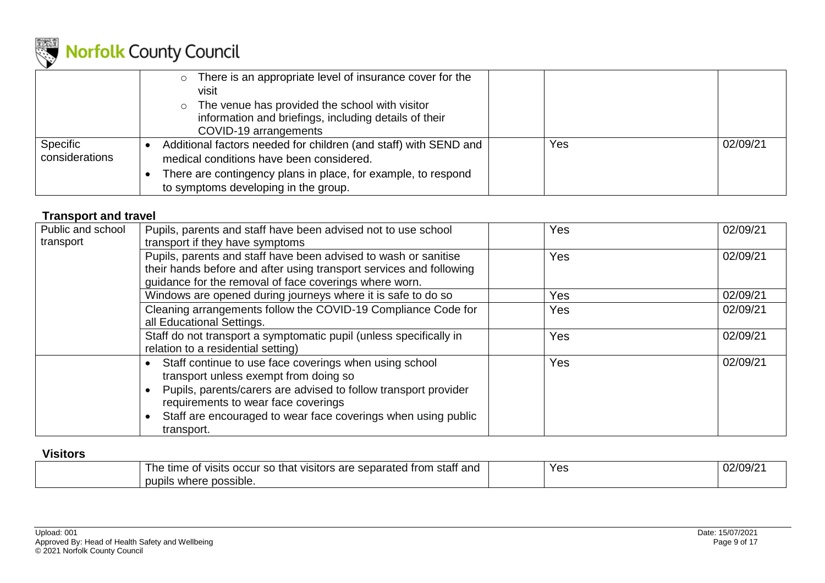

|                            | There is an appropriate level of insurance cover for the<br>$\circ$<br>visit<br>$\circ$ The venue has provided the school with visitor<br>information and briefings, including details of their<br>COVID-19 arrangements |     |          |
|----------------------------|--------------------------------------------------------------------------------------------------------------------------------------------------------------------------------------------------------------------------|-----|----------|
| Specific<br>considerations | Additional factors needed for children (and staff) with SEND and<br>medical conditions have been considered.<br>There are contingency plans in place, for example, to respond<br>to symptoms developing in the group.    | Yes | 02/09/21 |

#### **Transport and travel**

| Public and school | Pupils, parents and staff have been advised not to use school                                                                                                                                                                                                                            | Yes | 02/09/21 |
|-------------------|------------------------------------------------------------------------------------------------------------------------------------------------------------------------------------------------------------------------------------------------------------------------------------------|-----|----------|
| transport         | transport if they have symptoms                                                                                                                                                                                                                                                          |     |          |
|                   | Pupils, parents and staff have been advised to wash or sanitise<br>their hands before and after using transport services and following<br>guidance for the removal of face coverings where worn.                                                                                         | Yes | 02/09/21 |
|                   | Windows are opened during journeys where it is safe to do so                                                                                                                                                                                                                             | Yes | 02/09/21 |
|                   | Cleaning arrangements follow the COVID-19 Compliance Code for<br>all Educational Settings.                                                                                                                                                                                               | Yes | 02/09/21 |
|                   | Staff do not transport a symptomatic pupil (unless specifically in<br>relation to a residential setting)                                                                                                                                                                                 | Yes | 02/09/21 |
|                   | Staff continue to use face coverings when using school<br>transport unless exempt from doing so<br>Pupils, parents/carers are advised to follow transport provider<br>requirements to wear face coverings<br>Staff are encouraged to wear face coverings when using public<br>transport. | Yes | 02/09/21 |

#### <span id="page-8-0"></span>**Visitors**

<span id="page-8-1"></span>

| <br>, are<br>separated from<br>staff and<br>time<br>occur so<br>VISItS<br>⊥ne<br>that<br>VISItors<br>$\sim$<br>- Trom<br>ັບເ | Yes | $02/09/2^3$ |
|------------------------------------------------------------------------------------------------------------------------------|-----|-------------|
| where possible.<br>pubils                                                                                                    |     |             |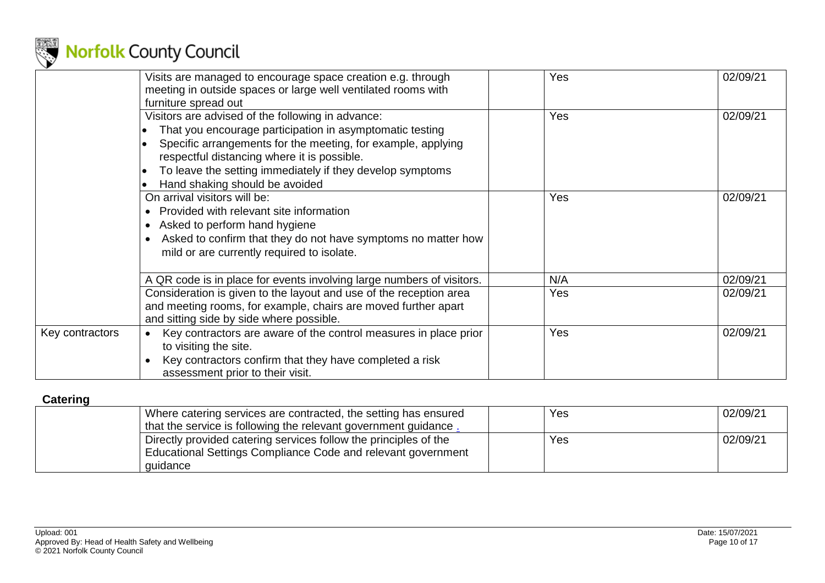

|                 | Visits are managed to encourage space creation e.g. through<br>meeting in outside spaces or large well ventilated rooms with<br>furniture spread out                                                                                                                                                                        | Yes | 02/09/21 |
|-----------------|-----------------------------------------------------------------------------------------------------------------------------------------------------------------------------------------------------------------------------------------------------------------------------------------------------------------------------|-----|----------|
|                 | Visitors are advised of the following in advance:<br>That you encourage participation in asymptomatic testing<br>Specific arrangements for the meeting, for example, applying<br>respectful distancing where it is possible.<br>To leave the setting immediately if they develop symptoms<br>Hand shaking should be avoided | Yes | 02/09/21 |
|                 | On arrival visitors will be:<br>Provided with relevant site information<br>$\bullet$<br>Asked to perform hand hygiene<br>$\bullet$<br>Asked to confirm that they do not have symptoms no matter how<br>$\bullet$<br>mild or are currently required to isolate.                                                              | Yes | 02/09/21 |
|                 | A QR code is in place for events involving large numbers of visitors.                                                                                                                                                                                                                                                       | N/A | 02/09/21 |
|                 | Consideration is given to the layout and use of the reception area<br>and meeting rooms, for example, chairs are moved further apart<br>and sitting side by side where possible.                                                                                                                                            | Yes | 02/09/21 |
| Key contractors | Key contractors are aware of the control measures in place prior<br>$\bullet$<br>to visiting the site.<br>Key contractors confirm that they have completed a risk<br>$\bullet$<br>assessment prior to their visit.                                                                                                          | Yes | 02/09/21 |

### **Catering**

<span id="page-9-0"></span>

| Where catering services are contracted, the setting has ensured  | Yes | 02/09/21 |
|------------------------------------------------------------------|-----|----------|
| that the service is following the relevant government guidance.  |     |          |
| Directly provided catering services follow the principles of the | Yes | 02/09/21 |
| Educational Settings Compliance Code and relevant government     |     |          |
| quidance                                                         |     |          |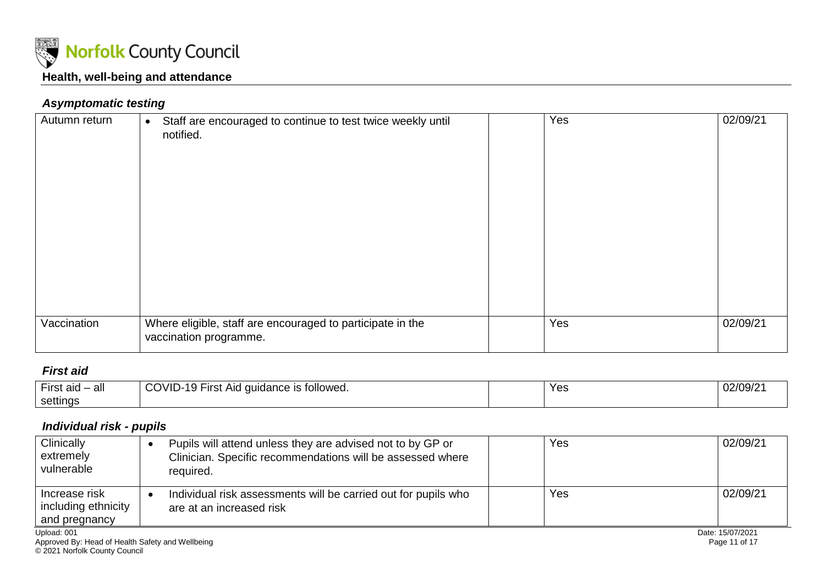

#### *Asymptomatic testing*

| Autumn return | Staff are encouraged to continue to test twice weekly until<br>$\bullet$<br>notified. | Yes | 02/09/21 |
|---------------|---------------------------------------------------------------------------------------|-----|----------|
|               |                                                                                       |     |          |
|               |                                                                                       |     |          |
|               |                                                                                       |     |          |
|               |                                                                                       |     |          |
|               |                                                                                       |     |          |
|               |                                                                                       |     |          |
|               |                                                                                       |     |          |
| Vaccination   | Where eligible, staff are encouraged to participate in the                            | Yes | 02/09/21 |
|               | vaccination programme.                                                                |     |          |

#### <span id="page-10-1"></span><span id="page-10-0"></span>*First aid*

| -irsi<br>aid<br>$\sim$ $\sim$<br>all | MIT<br>⊩irsւ<br>quidance is followed.<br>Aid<br>ו -שו<br>. | Yes | 02/09/2 |
|--------------------------------------|------------------------------------------------------------|-----|---------|
| settings                             |                                                            |     |         |

## *Individual risk - pupils*

<span id="page-10-3"></span><span id="page-10-2"></span>

| Clinically<br>extremely<br>l vulnerable                 | Pupils will attend unless they are advised not to by GP or<br>Clinician. Specific recommendations will be assessed where<br>required. | Yes | 02/09/21         |
|---------------------------------------------------------|---------------------------------------------------------------------------------------------------------------------------------------|-----|------------------|
| Increase risk<br>  including ethnicity<br>and pregnancy | Individual risk assessments will be carried out for pupils who<br>are at an increased risk                                            | Yes | 02/09/21         |
| Upload: 001                                             |                                                                                                                                       |     | Date: 15/07/2021 |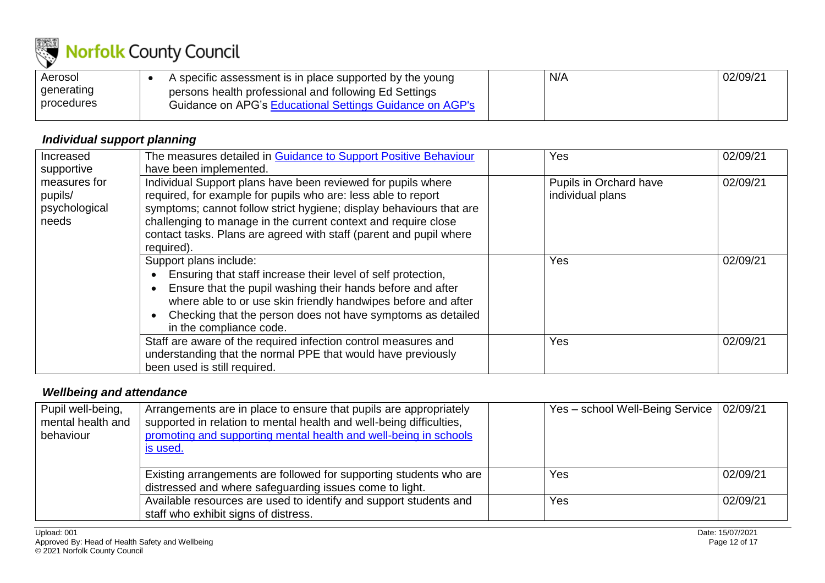

| Aerosol    | A specific assessment is in place supported by the young | N/A | 02/09/21 |
|------------|----------------------------------------------------------|-----|----------|
| generating | persons health professional and following Ed Settings    |     |          |
| procedures | Guidance on APG's Educational Settings Guidance on AGP's |     |          |

## *Individual support planning*

| Increased                                         | The measures detailed in Guidance to Support Positive Behaviour                                                                                                                                                                                                                                                                                            | Yes                                        | 02/09/21 |
|---------------------------------------------------|------------------------------------------------------------------------------------------------------------------------------------------------------------------------------------------------------------------------------------------------------------------------------------------------------------------------------------------------------------|--------------------------------------------|----------|
| supportive                                        | have been implemented.                                                                                                                                                                                                                                                                                                                                     |                                            |          |
| measures for<br>pupils/<br>psychological<br>needs | Individual Support plans have been reviewed for pupils where<br>required, for example for pupils who are: less able to report<br>symptoms; cannot follow strict hygiene; display behaviours that are<br>challenging to manage in the current context and require close<br>contact tasks. Plans are agreed with staff (parent and pupil where<br>required). | Pupils in Orchard have<br>individual plans | 02/09/21 |
|                                                   | Support plans include:<br>Ensuring that staff increase their level of self protection,<br>Ensure that the pupil washing their hands before and after<br>where able to or use skin friendly handwipes before and after<br>Checking that the person does not have symptoms as detailed<br>in the compliance code.                                            | <b>Yes</b>                                 | 02/09/21 |
|                                                   | Staff are aware of the required infection control measures and<br>understanding that the normal PPE that would have previously<br>been used is still required.                                                                                                                                                                                             | <b>Yes</b>                                 | 02/09/21 |

#### <span id="page-11-0"></span>*Wellbeing and attendance*

<span id="page-11-1"></span>

| Pupil well-being,<br>mental health and<br>behaviour | Arrangements are in place to ensure that pupils are appropriately<br>supported in relation to mental health and well-being difficulties,<br>promoting and supporting mental health and well-being in schools<br><u>is used.</u> | Yes - school Well-Being Service   02/09/21 |          |
|-----------------------------------------------------|---------------------------------------------------------------------------------------------------------------------------------------------------------------------------------------------------------------------------------|--------------------------------------------|----------|
|                                                     | Existing arrangements are followed for supporting students who are<br>distressed and where safeguarding issues come to light.                                                                                                   | Yes                                        | 02/09/21 |
|                                                     | Available resources are used to identify and support students and<br>staff who exhibit signs of distress.                                                                                                                       | Yes                                        | 02/09/21 |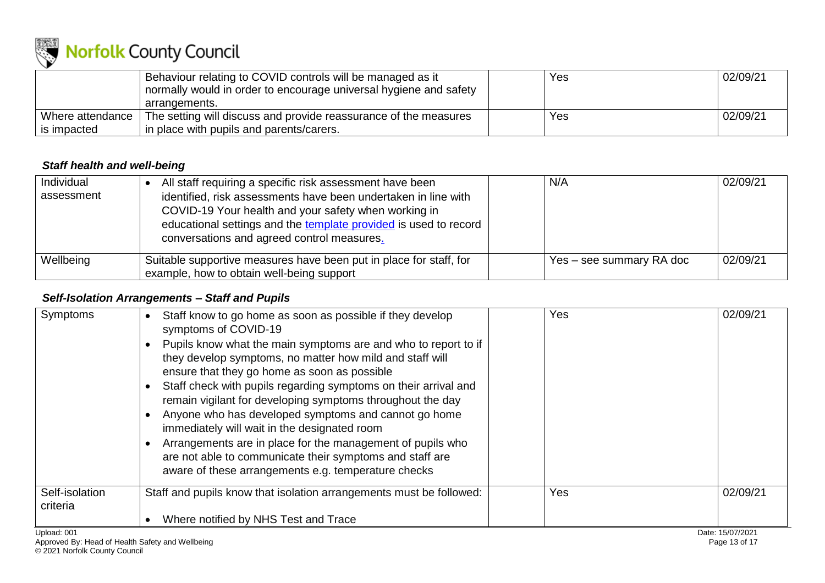

|                  | Behaviour relating to COVID controls will be managed as it<br>normally would in order to encourage universal hygiene and safety | Yes | 02/09/21 |
|------------------|---------------------------------------------------------------------------------------------------------------------------------|-----|----------|
|                  |                                                                                                                                 |     |          |
|                  | arrangements.                                                                                                                   |     |          |
| Where attendance | The setting will discuss and provide reassurance of the measures                                                                | Yes | 02/09/21 |
| is impacted      | in place with pupils and parents/carers.                                                                                        |     |          |

#### *Staff health and well-being*

| Individual<br>assessment | All staff requiring a specific risk assessment have been<br>identified, risk assessments have been undertaken in line with<br>COVID-19 Your health and your safety when working in<br>educational settings and the template provided is used to record<br>conversations and agreed control measures. | N/A                      | 02/09/21 |
|--------------------------|------------------------------------------------------------------------------------------------------------------------------------------------------------------------------------------------------------------------------------------------------------------------------------------------------|--------------------------|----------|
| Wellbeing                | Suitable supportive measures have been put in place for staff, for<br>example, how to obtain well-being support                                                                                                                                                                                      | Yes – see summary RA doc | 02/09/21 |

#### *Self-Isolation Arrangements – Staff and Pupils*

<span id="page-12-1"></span><span id="page-12-0"></span>

| Symptoms                                                        | Staff know to go home as soon as possible if they develop<br>symptoms of COVID-19<br>Pupils know what the main symptoms are and who to report to if<br>they develop symptoms, no matter how mild and staff will<br>ensure that they go home as soon as possible<br>Staff check with pupils regarding symptoms on their arrival and<br>remain vigilant for developing symptoms throughout the day<br>Anyone who has developed symptoms and cannot go home<br>immediately will wait in the designated room<br>Arrangements are in place for the management of pupils who<br>are not able to communicate their symptoms and staff are<br>aware of these arrangements e.g. temperature checks | Yes | 02/09/21                          |
|-----------------------------------------------------------------|-------------------------------------------------------------------------------------------------------------------------------------------------------------------------------------------------------------------------------------------------------------------------------------------------------------------------------------------------------------------------------------------------------------------------------------------------------------------------------------------------------------------------------------------------------------------------------------------------------------------------------------------------------------------------------------------|-----|-----------------------------------|
| Self-isolation<br>criteria                                      | Staff and pupils know that isolation arrangements must be followed:                                                                                                                                                                                                                                                                                                                                                                                                                                                                                                                                                                                                                       | Yes | 02/09/21                          |
|                                                                 | Where notified by NHS Test and Trace                                                                                                                                                                                                                                                                                                                                                                                                                                                                                                                                                                                                                                                      |     |                                   |
| Upload: 001<br>Approved By: Head of Health Safety and Wellbeing |                                                                                                                                                                                                                                                                                                                                                                                                                                                                                                                                                                                                                                                                                           |     | Date: 15/07/2021<br>Page 13 of 17 |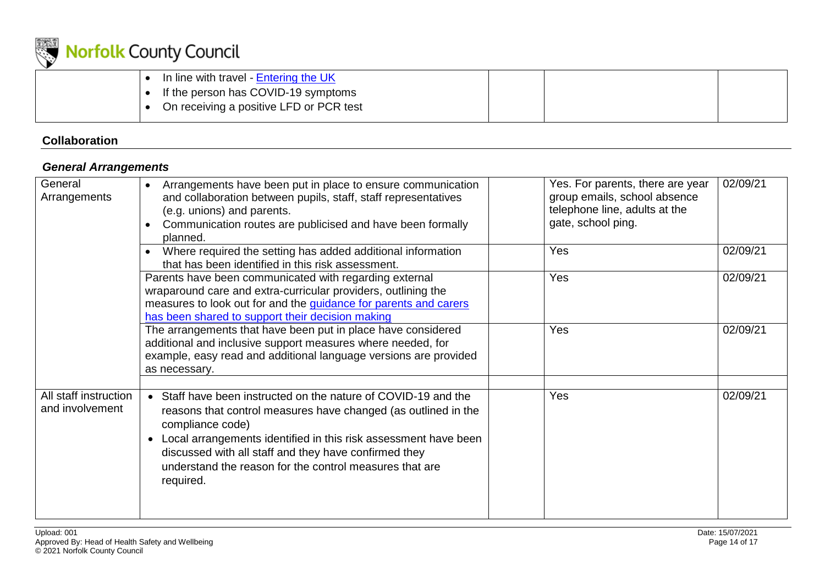

| In line with travel - Entering the UK   |  |  |
|-----------------------------------------|--|--|
| If the person has COVID-19 symptoms     |  |  |
| On receiving a positive LFD or PCR test |  |  |

## **Collaboration**

### *General Arrangements*

<span id="page-13-1"></span><span id="page-13-0"></span>

| General<br>Arrangements                  | Arrangements have been put in place to ensure communication<br>and collaboration between pupils, staff, staff representatives<br>(e.g. unions) and parents.<br>Communication routes are publicised and have been formally<br>planned.                                                                                                                                 | Yes. For parents, there are year<br>group emails, school absence<br>telephone line, adults at the<br>gate, school ping. | 02/09/21 |
|------------------------------------------|-----------------------------------------------------------------------------------------------------------------------------------------------------------------------------------------------------------------------------------------------------------------------------------------------------------------------------------------------------------------------|-------------------------------------------------------------------------------------------------------------------------|----------|
|                                          | Where required the setting has added additional information<br>that has been identified in this risk assessment.                                                                                                                                                                                                                                                      | Yes                                                                                                                     | 02/09/21 |
|                                          | Parents have been communicated with regarding external<br>wraparound care and extra-curricular providers, outlining the<br>measures to look out for and the guidance for parents and carers<br>has been shared to support their decision making                                                                                                                       | Yes                                                                                                                     | 02/09/21 |
|                                          | The arrangements that have been put in place have considered<br>additional and inclusive support measures where needed, for<br>example, easy read and additional language versions are provided<br>as necessary.                                                                                                                                                      | Yes                                                                                                                     | 02/09/21 |
| All staff instruction<br>and involvement | • Staff have been instructed on the nature of COVID-19 and the<br>reasons that control measures have changed (as outlined in the<br>compliance code)<br>Local arrangements identified in this risk assessment have been<br>$\bullet$<br>discussed with all staff and they have confirmed they<br>understand the reason for the control measures that are<br>required. | Yes                                                                                                                     | 02/09/21 |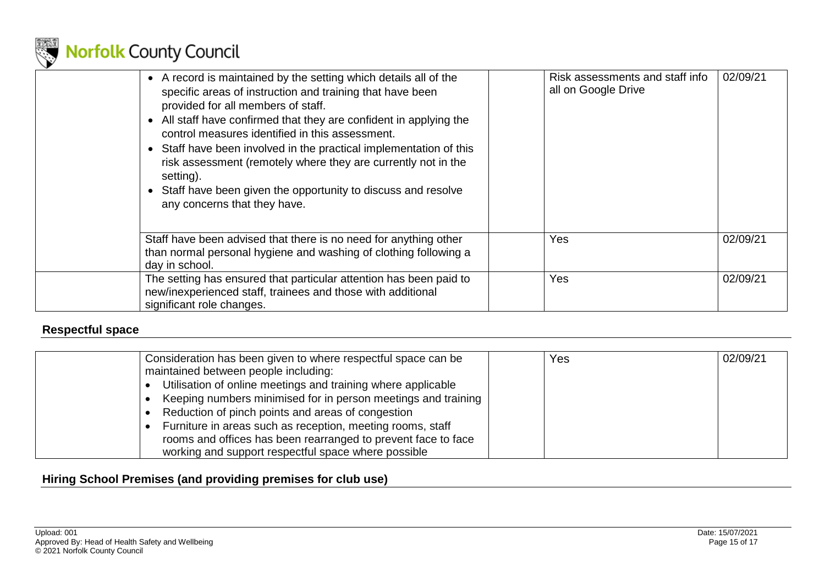

| • A record is maintained by the setting which details all of the<br>specific areas of instruction and training that have been<br>provided for all members of staff.<br>All staff have confirmed that they are confident in applying the<br>control measures identified in this assessment.<br>• Staff have been involved in the practical implementation of this<br>risk assessment (remotely where they are currently not in the<br>setting).<br>• Staff have been given the opportunity to discuss and resolve<br>any concerns that they have. | Risk assessments and staff info<br>all on Google Drive | 02/09/21 |
|--------------------------------------------------------------------------------------------------------------------------------------------------------------------------------------------------------------------------------------------------------------------------------------------------------------------------------------------------------------------------------------------------------------------------------------------------------------------------------------------------------------------------------------------------|--------------------------------------------------------|----------|
| Staff have been advised that there is no need for anything other<br>than normal personal hygiene and washing of clothing following a<br>day in school.                                                                                                                                                                                                                                                                                                                                                                                           | Yes                                                    | 02/09/21 |
| The setting has ensured that particular attention has been paid to<br>new/inexperienced staff, trainees and those with additional<br>significant role changes.                                                                                                                                                                                                                                                                                                                                                                                   | Yes                                                    | 02/09/21 |

## **Respectful space**

| Consideration has been given to where respectful space can be | Yes | 02/09/21 |
|---------------------------------------------------------------|-----|----------|
| maintained between people including:                          |     |          |
| Utilisation of online meetings and training where applicable  |     |          |
| Keeping numbers minimised for in person meetings and training |     |          |
| Reduction of pinch points and areas of congestion             |     |          |
| Furniture in areas such as reception, meeting rooms, staff    |     |          |
| rooms and offices has been rearranged to prevent face to face |     |          |
| working and support respectful space where possible           |     |          |

## <span id="page-14-1"></span><span id="page-14-0"></span>**Hiring School Premises (and providing premises for club use)**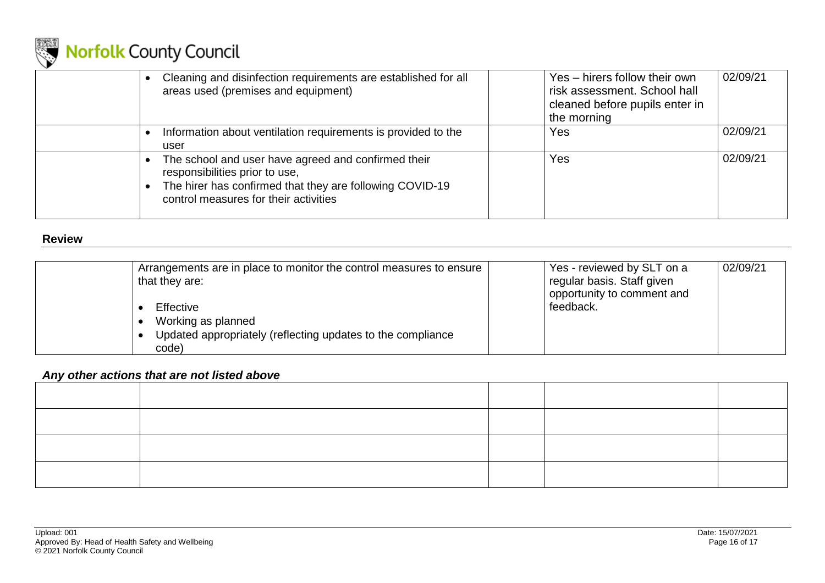

| Cleaning and disinfection requirements are established for all<br>areas used (premises and equipment)                                                                                      | Yes - hirers follow their own<br>risk assessment. School hall<br>cleaned before pupils enter in<br>the morning | 02/09/21 |
|--------------------------------------------------------------------------------------------------------------------------------------------------------------------------------------------|----------------------------------------------------------------------------------------------------------------|----------|
| Information about ventilation requirements is provided to the<br>user                                                                                                                      | Yes                                                                                                            | 02/09/21 |
| The school and user have agreed and confirmed their<br>responsibilities prior to use,<br>The hirer has confirmed that they are following COVID-19<br>control measures for their activities | Yes                                                                                                            | 02/09/21 |

#### **Review**

| Arrangements are in place to monitor the control measures to ensure<br>that they are:                   | Yes - reviewed by SLT on a<br>regular basis. Staff given<br>opportunity to comment and | 02/09/21 |
|---------------------------------------------------------------------------------------------------------|----------------------------------------------------------------------------------------|----------|
| Effective<br>Working as planned<br>Updated appropriately (reflecting updates to the compliance<br>code) | feedback.                                                                              |          |

#### *Any other actions that are not listed above*

<span id="page-15-0"></span>